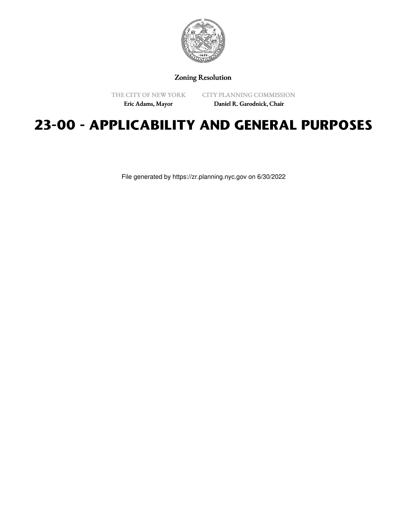

Zoning Resolution

THE CITY OF NEW YORK

CITY PLANNING COMMISSION

Eric Adams, Mayor

Daniel R. Garodnick, Chair

# **23-00 - APPLICABILITY AND GENERAL PURPOSES**

File generated by https://zr.planning.nyc.gov on 6/30/2022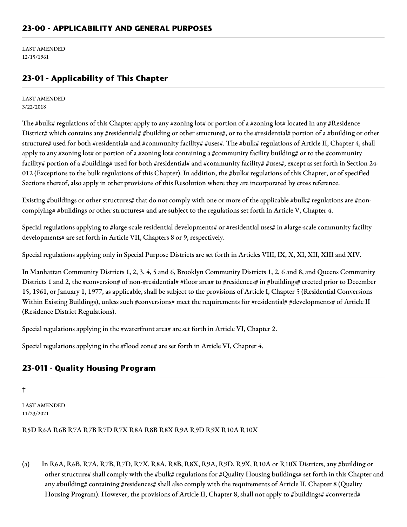LAST AMENDED 12/15/1961

# **23-01 - Applicability of This Chapter**

LAST AMENDED 3/22/2018

The #bulk# regulations of this Chapter apply to any #zoning lot# or portion of a #zoning lot# located in any #Residence District# which contains any #residential# #building or other structure#, or to the #residential# portion of a #building or other structure# used for both #residential# and #community facility# #uses#. The #bulk# regulations of Article II, Chapter 4, shall apply to any #zoning lot# or portion of a #zoning lot# containing a #community facility building# or to the #community facility# portion of a #building# used for both #residential# and #community facility# #uses#, except as set forth in Section 24-012 (Exceptions to the bulk regulations of this Chapter). In addition, the #bulk# regulations of this Chapter, or of specified Sections thereof, also apply in other provisions of this Resolution where they are incorporated by cross reference.

Existing #buildings or other structures# that do not comply with one or more of the applicable #bulk# regulations are #noncomplying# #buildings or other structures# and are subject to the regulations set forth in Article V, Chapter 4.

Special regulations applying to #large-scale residential developments# or #residential uses# in #large-scale community facility developments# are set forth in Article VII, Chapters 8 or 9, respectively.

Special regulations applying only in Special Purpose Districts are set forth in Articles VIII, IX, X, XI, XII, XIII and XIV.

In Manhattan Community Districts 1, 2, 3, 4, 5 and 6, Brooklyn Community Districts 1, 2, 6 and 8, and Queens Community Districts 1 and 2, the #conversion# of non-#residential# #floor area# to #residences# in #buildings# erected prior to December 15, 1961, or January 1, 1977, as applicable, shall be subject to the provisions of Article I, Chapter 5 (Residential Conversions Within Existing Buildings), unless such #conversions# meet the requirements for #residential# #developments# of Article II (Residence District Regulations).

Special regulations applying in the #waterfront area# are set forth in Article VI, Chapter 2.

Special regulations applying in the #flood zone# are set forth in Article VI, Chapter 4.

## **23-011 - Quality Housing Program**

†

LAST AMENDED 11/23/2021

R5D R6A R6B R7A R7B R7D R7X R8A R8B R8X R9A R9D R9X R10A R10X

(a) In R6A, R6B, R7A, R7B, R7D, R7X, R8A, R8B, R8X, R9A, R9D, R9X, R10A or R10X Districts, any #building or other structure# shall comply with the #bulk# regulations for #Quality Housing buildings# set forth in this Chapter and any #building# containing #residences# shall also comply with the requirements of Article II, Chapter 8 (Quality Housing Program). However, the provisions of Article II, Chapter 8, shall not apply to #buildings# #converted#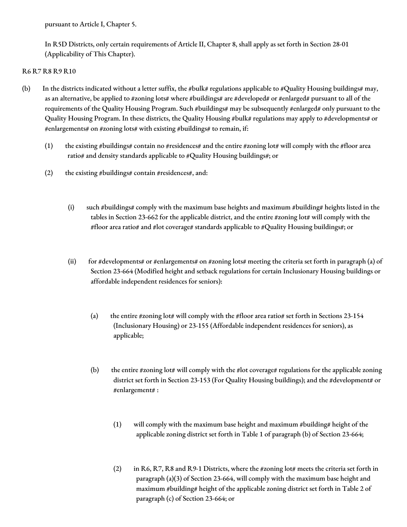pursuant to Article I, Chapter 5.

In R5D Districts, only certain requirements of Article II, Chapter 8, shall apply as set forth in Section 28-01 (Applicability of This Chapter).

#### R6 R7 R8 R9 R10

- (b) In the districts indicated without a letter suffix, the #bulk# regulations applicable to #Quality Housing buildings# may, as an alternative, be applied to #zoning lots# where #buildings# are #developed# or #enlarged# pursuant to all of the requirements of the Quality Housing Program. Such #buildings# may be subsequently #enlarged# only pursuant to the Quality Housing Program. In these districts, the Quality Housing #bulk# regulations may apply to #developments# or #enlargements# on #zoning lots# with existing #buildings# to remain, if:
	- (1) the existing #buildings# contain no #residences# and the entire #zoning lot# will comply with the #floor area ratio# and density standards applicable to #Quality Housing buildings#; or
	- (2) the existing #buildings# contain #residences#, and:
		- (i) such #buildings# comply with the maximum base heights and maximum #building# heights listed in the tables in Section 23-662 for the applicable district, and the entire #zoning lot# will comply with the #floor area ratio# and #lot coverage# standards applicable to #Quality Housing buildings#; or
		- (ii) for #developments# or #enlargements# on #zoning lots# meeting the criteria set forth in paragraph (a) of Section 23-664 (Modified height and setback regulations for certain Inclusionary Housing buildings or affordable independent residences for seniors):
			- (a) the entire #zoning lot# will comply with the #floor area ratio# set forth in Sections  $23-154$ (Inclusionary Housing) or 23-155 (Affordable independent residences for seniors), as applicable;
			- (b) the entire #zoning lot# will comply with the #lot coverage# regulations for the applicable zoning district set forth in Section 23-153 (For Quality Housing buildings); and the #development# or #enlargement# :
				- (1) will comply with the maximum base height and maximum #building# height of the applicable zoning district set forth in Table 1 of paragraph (b) of Section 23-664;
				- (2) in R6, R7, R8 and R9-1 Districts, where the #zoning lot# meets the criteria set forth in paragraph (a)(3) of Section 23-664, will comply with the maximum base height and maximum #building# height of the applicable zoning district set forth in Table 2 of paragraph (c) of Section 23-664; or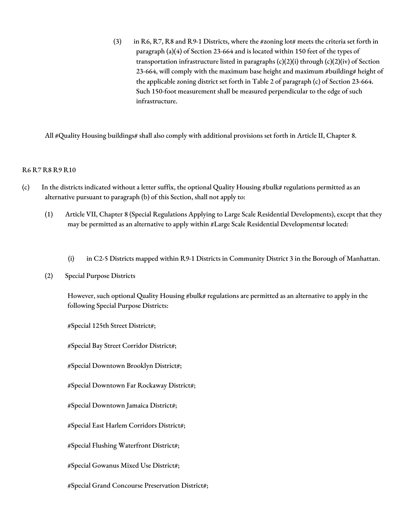(3) in R6, R7, R8 and R9-1 Districts, where the #zoning lot# meets the criteria set forth in paragraph (a)(4) of Section 23-664 and is located within 150 feet of the types of transportation infrastructure listed in paragraphs  $(c)(2)(i)$  through  $(c)(2)(iv)$  of Section 23-664, will comply with the maximum base height and maximum #building# height of the applicable zoning district set forth in Table 2 of paragraph (c) of Section 23-664. Such 150-foot measurement shall be measured perpendicular to the edge of such infrastructure.

All #Quality Housing buildings# shall also comply with additional provisions set forth in Article II, Chapter 8.

#### R6 R7 R8 R9 R10

- (c) In the districts indicated without a letter suffix, the optional Quality Housing #bulk# regulations permitted as an alternative pursuant to paragraph (b) of this Section, shall not apply to:
	- (1) Article VII, Chapter 8 (Special Regulations Applying to Large Scale Residential Developments), except that they may be permitted as an alternative to apply within #Large Scale Residential Developments# located:
		- (i) in C2-5 Districts mapped within R9-1 Districts in Community District 3 in the Borough of Manhattan.
	- (2) Special Purpose Districts

However, such optional Quality Housing #bulk# regulations are permitted as an alternative to apply in the following Special Purpose Districts:

#Special 125th Street District#;

#Special Bay Street Corridor District#;

#Special Downtown Brooklyn District#;

#Special Downtown Far Rockaway District#;

#Special Downtown Jamaica District#;

#Special East Harlem Corridors District#;

#Special Flushing Waterfront District#;

#Special Gowanus Mixed Use District#;

#Special Grand Concourse Preservation District#;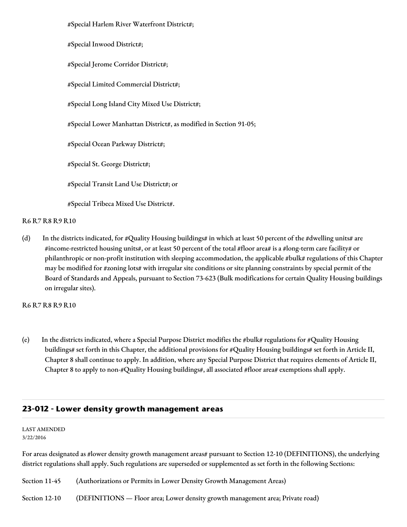#Special Harlem River Waterfront District#;

#Special Inwood District#;

#Special Jerome Corridor District#;

#Special Limited Commercial District#;

#Special Long Island City Mixed Use District#;

#Special Lower Manhattan District#, as modified in Section 91-05;

#Special Ocean Parkway District#;

#Special St. George District#;

#Special Transit Land Use District#; or

#Special Tribeca Mixed Use District#.

#### R6 R7 R8 R9 R10

(d) In the districts indicated, for #Quality Housing buildings# in which at least 50 percent of the #dwelling units# are #income-restricted housing units#, or at least 50 percent of the total #floor area# is a #long-term care facility# or philanthropic or non-profit institution with sleeping accommodation, the applicable #bulk# regulations of this Chapter may be modified for #zoning lots# with irregular site conditions or site planning constraints by special permit of the Board of Standards and Appeals, pursuant to Section 73-623 (Bulk modifications for certain Quality Housing buildings on irregular sites).

R6 R7 R8 R9 R10

(e) In the districts indicated, where a Special Purpose District modifies the #bulk# regulations for #Quality Housing buildings# set forth in this Chapter, the additional provisions for #Quality Housing buildings# set forth in Article II, Chapter 8 shall continue to apply. In addition, where any Special Purpose District that requires elements of Article II, Chapter 8 to apply to non-#Quality Housing buildings#, all associated #floor area# exemptions shall apply.

## **23-012 - Lower density growth management areas**

LAST AMENDED 3/22/2016

For areas designated as #lower density growth management areas# pursuant to Section 12-10 (DEFINITIONS), the underlying district regulations shall apply. Such regulations are superseded or supplemented as set forth in the following Sections:

Section 11-45 (Authorizations or Permits in Lower Density Growth Management Areas)

Section 12-10 (DEFINITIONS — Floor area; Lower density growth management area; Private road)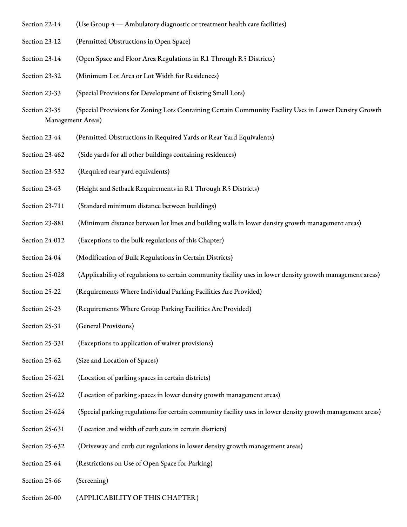- Section 22-14 (Use Group 4 Ambulatory diagnostic or treatment health care facilities)
- Section 23-12 (Permitted Obstructions in Open Space)
- Section 23-14 (Open Space and Floor Area Regulations in R1 Through R5 Districts)
- Section 23-32 (Minimum Lot Area or Lot Width for Residences)
- Section 23-33 (Special Provisions for Development of Existing Small Lots)
- Section 23-35 (Special Provisions for Zoning Lots Containing Certain Community Facility Uses in Lower Density Growth Management Areas)
- Section 23-44 (Permitted Obstructions in Required Yards or Rear Yard Equivalents)
- Section 23-462 (Side yards for all other buildings containing residences)
- Section 23-532 (Required rear yard equivalents)
- Section 23-63 (Height and Setback Requirements in R1 Through R5 Districts)
- Section 23-711 (Standard minimum distance between buildings)
- Section 23-881 (Minimum distance between lot lines and building walls in lower density growth management areas)
- Section 24-012 (Exceptions to the bulk regulations of this Chapter)
- Section 24-04 (Modification of Bulk Regulations in Certain Districts)
- Section 25-028 (Applicability of regulations to certain community facility uses in lower density growth management areas)
- Section 25-22 (Requirements Where Individual Parking Facilities Are Provided)
- Section 25-23 (Requirements Where Group Parking Facilities Are Provided)
- Section 25-31 (General Provisions)
- Section 25-331 (Exceptions to application of waiver provisions)
- Section 25-62 (Size and Location of Spaces)
- Section 25-621 (Location of parking spaces in certain districts)
- Section 25-622 (Location of parking spaces in lower density growth management areas)
- Section 25-624 (Special parking regulations for certain community facility uses in lower density growth management areas)
- Section 25-631 (Location and width of curb cuts in certain districts)
- Section 25-632 (Driveway and curb cut regulations in lower density growth management areas)
- Section 25-64 (Restrictions on Use of Open Space for Parking)
- Section 25-66 (Screening)
- Section 26-00 (APPLICABILITY OF THIS CHAPTER)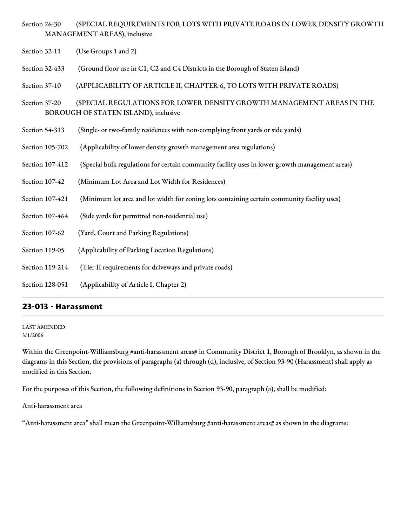- Section 26-30 (SPECIAL REQUIREMENTS FOR LOTS WITH PRIVATE ROADS IN LOWER DENSITY GROWTH MANAGEMENT AREAS), inclusive
- Section 32-11 (Use Groups 1 and 2)

Section 32-433 (Ground floor use in C1, C2 and C4 Districts in the Borough of Staten Island)

Section 37-10 (APPLICABILITY OF ARTICLE II, CHAPTER 6, TO LOTS WITH PRIVATE ROADS)

Section 37-20 (SPECIAL REGULATIONS FOR LOWER DENSITY GROWTH MANAGEMENT AREAS IN THE BOROUGH OF STATEN ISLAND), inclusive

- Section 54-313 (Single- or two-family residences with non-complying front yards or side yards)
- Section 105-702 (Applicability of lower density growth management area regulations)
- Section 107-412 (Special bulk regulations for certain community facility uses in lower growth management areas)
- Section 107-42 (Minimum Lot Area and Lot Width for Residences)
- Section 107-421 (Minimum lot area and lot width for zoning lots containing certain community facility uses)
- Section 107-464 (Side yards for permitted non-residential use)
- Section 107-62 (Yard, Court and Parking Regulations)
- Section 119-05 (Applicability of Parking Location Regulations)
- Section 119-214 (Tier II requirements for driveways and private roads)
- Section 128-051 (Applicability of Article I, Chapter 2)

## **23-013 - Harassment**

LAST AMENDED 3/1/2006

Within the Greenpoint-Williamsburg #anti-harassment areas# in Community District 1, Borough of Brooklyn, as shown in the diagrams in this Section, the provisions of paragraphs (a) through (d), inclusive, of Section 93-90 (Harassment) shall apply as modified in this Section.

For the purposes of this Section, the following definitions in Section 93-90, paragraph (a), shall be modified:

Anti-harassment area

"Anti-harassment area" shall mean the Greenpoint-Williamsburg #anti-harassment areas# as shown in the diagrams: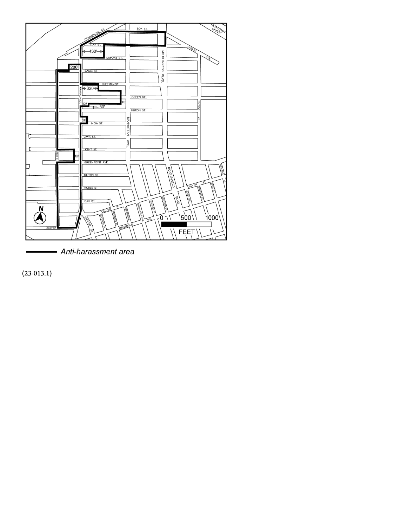

- Anti-harassment area

(23-013.1)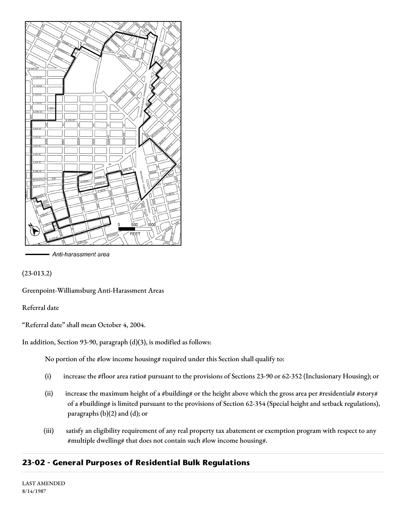

Anti-harassment area

(23-013.2)

Greenpoint-Williamsburg Anti-Harassment Areas

Referral date

"Referral date" shall mean October 4, 2004.

In addition, Section 93-90, paragraph (d)(3), is modified as follows:

No portion of the #low income housing# required under this Section shall qualify to:

- (i) increase the #floor area ratio# pursuant to the provisions of Sections 23-90 or 62-352 (Inclusionary Housing); or
- (ii) increase the maximum height of a #building# or the height above which the gross area per #residential# #story# of a #building# is limited pursuant to the provisions of Section 62-354 (Special height and setback regulations), paragraphs (b)(2) and (d); or
- (iii) satisfy an eligibility requirement of any real property tax abatement or exemption program with respect to any #multiple dwelling# that does not contain such #low income housing#.

## **23-02 - General Purposes of Residential Bulk Regulations**

LAST AMENDED 8/14/1987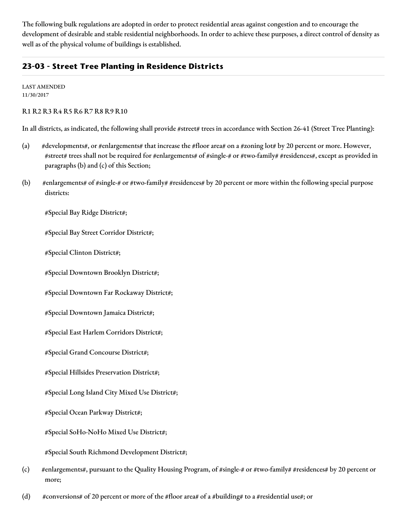The following bulk regulations are adopted in order to protect residential areas against congestion and to encourage the development of desirable and stable residential neighborhoods. In order to achieve these purposes, a direct control of density as well as of the physical volume of buildings is established.

## **23-03 - Street Tree Planting in Residence Districts**

LAST AMENDED 11/30/2017

R1 R2 R3 R4 R5 R6 R7 R8 R9 R10

In all districts, as indicated, the following shall provide #street# trees in accordance with Section 26-41 (Street Tree Planting):

- (a) #developments#, or #enlargements# that increase the #floor area# on a #zoning lot# by 20 percent or more. However, #street# trees shall not be required for #enlargements# of #single-# or #two-family# #residences#, except as provided in paragraphs (b) and (c) of this Section;
- (b) #enlargements# of #single-# or #two-family# #residences# by 20 percent or more within the following special purpose districts:

#Special Bay Ridge District#;

#Special Bay Street Corridor District#;

#Special Clinton District#;

#Special Downtown Brooklyn District#;

#Special Downtown Far Rockaway District#;

#Special Downtown Jamaica District#;

#Special East Harlem Corridors District#;

#Special Grand Concourse District#;

#Special Hillsides Preservation District#;

#Special Long Island City Mixed Use District#;

#Special Ocean Parkway District#;

#Special SoHo-NoHo Mixed Use District#;

#Special South Richmond Development District#;

- (c) #enlargements#, pursuant to the Quality Housing Program, of #single-# or #two-family# #residences# by 20 percent or more;
- (d) #conversions# of 20 percent or more of the #floor area# of a #building# to a #residential use#; or